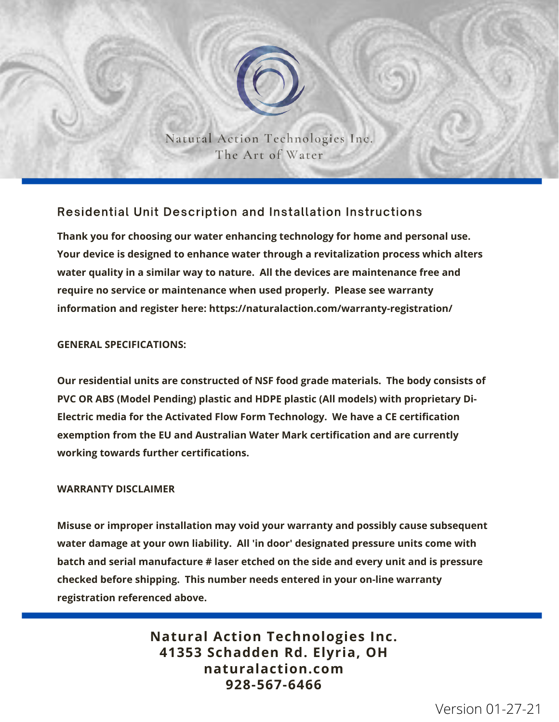

### Residential Unit Description and Installation Instructions

**Thank you for choosing our water enhancing technology for home and personal use. Your device is designed to enhance water through a revitalization process which alters water quality in a similar way to nature. All the devices are maintenance free and require no service or maintenance when used properly. Please see warranty information and register here: https://naturalaction.com/warranty-registration/**

#### **GENERAL SPECIFICATIONS:**

**Our residential units are constructed of NSF food grade materials. The body consists of PVC OR ABS (Model Pending) plastic and HDPE plastic (All models) with proprietary Di-Electric media for the Activated Flow Form Technology. We have a CE certification exemption from the EU and Australian Water Mark certification and are currently working towards further certifications.** 

#### **WARRANTY DISCLAIMER**

**Misuse or improper installation may void your warranty and possibly cause subsequent water damage at your own liability. All 'in door' designated pressure units come with batch and serial manufacture # laser etched on the side and every unit and is pressure checked before shipping. This number needs entered in your on-line warranty registration referenced above.** 

> **University of El Dorado, 123 Anywhere St., Any City, State Natural Action Technologies Inc. 41353 Schadden Rd. Elyria, OH naturalaction.com 928-567-6466**

> > Version 01-27-21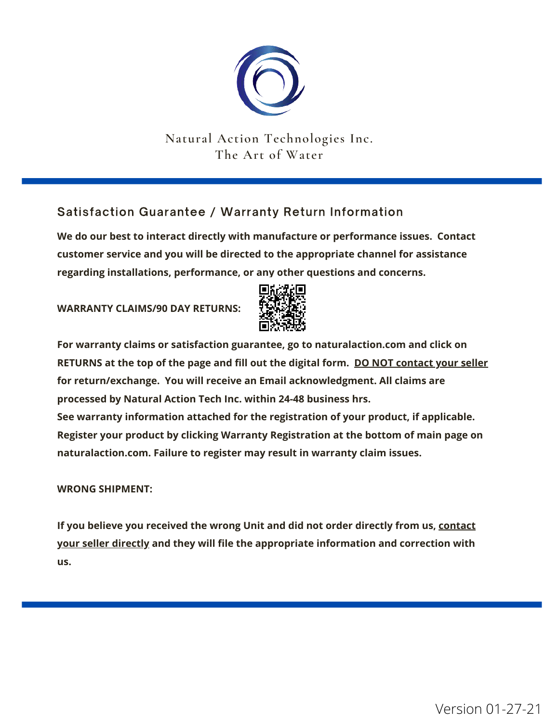

# Satisfaction Guarantee / Warranty Return Information

**We do our best to interact directly with manufacture or performance issues. Contact customer service and you will be directed to the appropriate channel for assistance regarding installations, performance, or any other questions and concerns.** 

### **WARRANTY CLAIMS/90 DAY RETURNS:**



**For warranty claims or satisfaction guarantee, go to naturalaction.com and click on RETURNS at the top of the page and fill out the digital form. DO NOT contact your seller for return/exchange. You will receive an Email acknowledgment. All claims are processed by Natural Action Tech Inc. within 24-48 business hrs. See warranty information attached for the registration of your product, if applicable. Register your product by clicking Warranty Registration at the bottom of main page on naturalaction.com. Failure to register may result in warranty claim issues.** 

### **WRONG SHIPMENT:**

**If you believe you received the wrong Unit and did not order directly from us, contact your seller directly and they will file the appropriate information and correction with us.**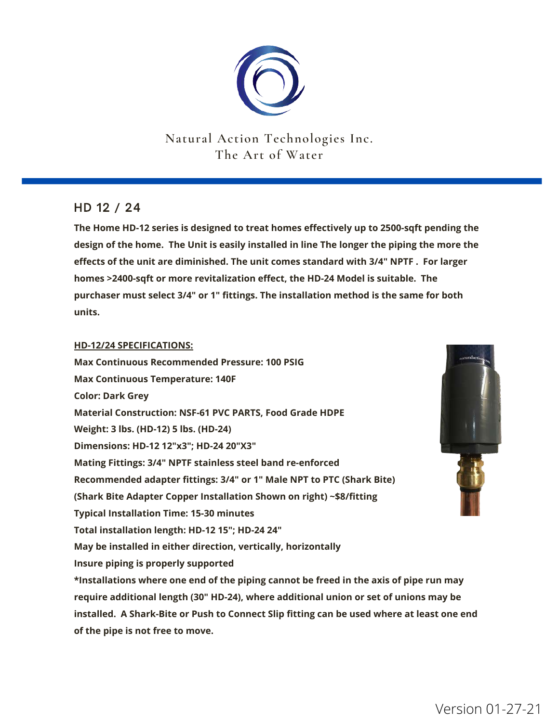

### HD 12 / 24

**The Home HD-12 series is designed to treat homes effectively up to 2500-sqft pending the design of the home. The Unit is easily installed in line The longer the piping the more the effects of the unit are diminished. The unit comes standard with 3/4" NPTF . For larger homes >2400-sqft or more revitalization effect, the HD-24 Model is suitable. The purchaser must select 3/4" or 1" fittings. The installation method is the same for both units.**

#### **HD-12/24 SPECIFICATIONS:**

**Max Continuous Recommended Pressure: 100 PSIG Max Continuous Temperature: 140F Color: Dark Grey Material Construction: NSF-61 PVC PARTS, Food Grade HDPE Weight: 3 lbs. (HD-12) 5 lbs. (HD-24) Dimensions: HD-12 12"x3"; HD-24 20"X3" Mating Fittings: 3/4" NPTF stainless steel band re-enforced Recommended adapter fittings: 3/4" or 1" Male NPT to PTC (Shark Bite) (Shark Bite Adapter Copper Installation Shown on right) ~\$8/fitting Typical Installation Time: 15-30 minutes Total installation length: HD-12 15"; HD-24 24" May be installed in either direction, vertically, horizontally Insure piping is properly supported \*Installations where one end of the piping cannot be freed in the axis of pipe run may require additional length (30" HD-24), where additional union or set of unions may be installed. A Shark-Bite or Push to Connect Slip fitting can be used where at least one end of the pipe is not free to move.** 

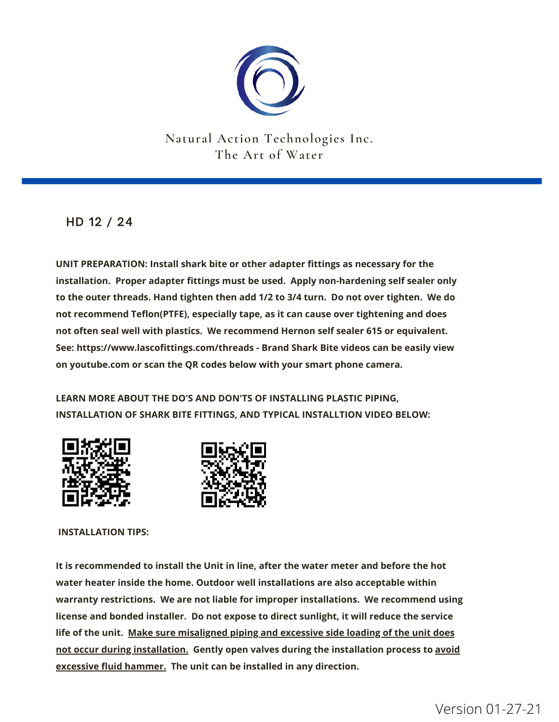

### HD 12 / 24

**UNIT PREPARATION: Install shark bite or other adapter fittings as necessary for the installation. Proper adapter fittings must be used. Apply non-hardening self sealer only to the outer threads. Hand tighten then add 1/2 to 3/4 turn. Do not over tighten. We do not recommend Teflon(PTFE), especially tape, as it can cause over tightening and does not often seal well with plastics. We recommend Hernon self sealer 615 or equivalent. See: https://www.lascofittings.com/threads - Brand Shark Bite videos can be easily view on youtube.com or scan the QR codes below with your smart phone camera.**

**LEARN MORE ABOUT THE DO'S AND DON'TS OF INSTALLING PLASTIC PIPING, INSTALLATION OF SHARK BITE FITTINGS, AND TYPICAL INSTALLTION VIDEO BELOW:**





 **INSTALLATION TIPS:**

**It is recommended to install the Unit in line, after the water meter and before the hot water heater inside the home. Outdoor well installations are also acceptable within warranty restrictions. We are not liable for improper installations. We recommend using license and bonded installer. Do not expose to direct sunlight, it will reduce the service life of the unit. Make sure misaligned piping and excessive side loading of the unit does not occur during installation. Gently open valves during the installation process to avoid excessive fluid hammer. The unit can be installed in any direction.**